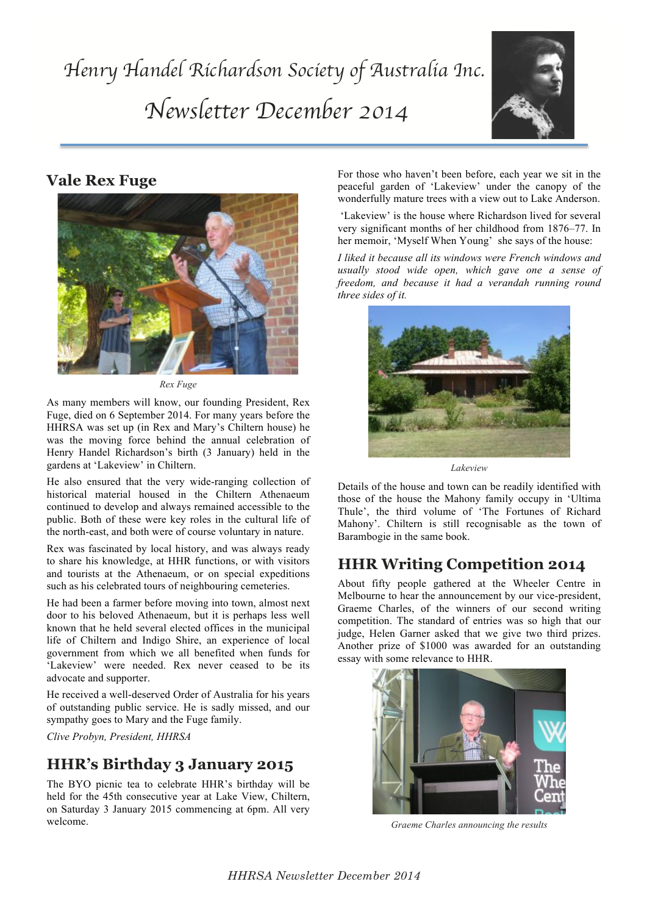

## **Vale Rex Fuge**



*Rex Fuge*

As many members will know, our founding President, Rex Fuge, died on 6 September 2014. For many years before the HHRSA was set up (in Rex and Mary's Chiltern house) he was the moving force behind the annual celebration of Henry Handel Richardson's birth (3 January) held in the gardens at 'Lakeview' in Chiltern.

He also ensured that the very wide-ranging collection of historical material housed in the Chiltern Athenaeum continued to develop and always remained accessible to the public. Both of these were key roles in the cultural life of the north-east, and both were of course voluntary in nature.

Rex was fascinated by local history, and was always ready to share his knowledge, at HHR functions, or with visitors and tourists at the Athenaeum, or on special expeditions such as his celebrated tours of neighbouring cemeteries.

He had been a farmer before moving into town, almost next door to his beloved Athenaeum, but it is perhaps less well known that he held several elected offices in the municipal life of Chiltern and Indigo Shire, an experience of local government from which we all benefited when funds for 'Lakeview' were needed. Rex never ceased to be its advocate and supporter.

He received a well-deserved Order of Australia for his years of outstanding public service. He is sadly missed, and our sympathy goes to Mary and the Fuge family.

*Clive Probyn, President, HHRSA*

## **HHR's Birthday 3 January 2015**

The BYO picnic tea to celebrate HHR's birthday will be held for the 45th consecutive year at Lake View, Chiltern, on Saturday 3 January 2015 commencing at 6pm. All very welcome.

For those who haven't been before, each year we sit in the peaceful garden of 'Lakeview' under the canopy of the wonderfully mature trees with a view out to Lake Anderson.

'Lakeview' is the house where Richardson lived for several very significant months of her childhood from 1876–77. In her memoir, 'Myself When Young' she says of the house:

*I liked it because all its windows were French windows and usually stood wide open, which gave one a sense of freedom, and because it had a verandah running round three sides of it.*



*Lakeview*

Details of the house and town can be readily identified with those of the house the Mahony family occupy in 'Ultima Thule', the third volume of 'The Fortunes of Richard Mahony'. Chiltern is still recognisable as the town of Barambogie in the same book.

# **HHR Writing Competition 2014**

About fifty people gathered at the Wheeler Centre in Melbourne to hear the announcement by our vice-president, Graeme Charles, of the winners of our second writing competition. The standard of entries was so high that our judge, Helen Garner asked that we give two third prizes. Another prize of \$1000 was awarded for an outstanding essay with some relevance to HHR.



*Graeme Charles announcing the results*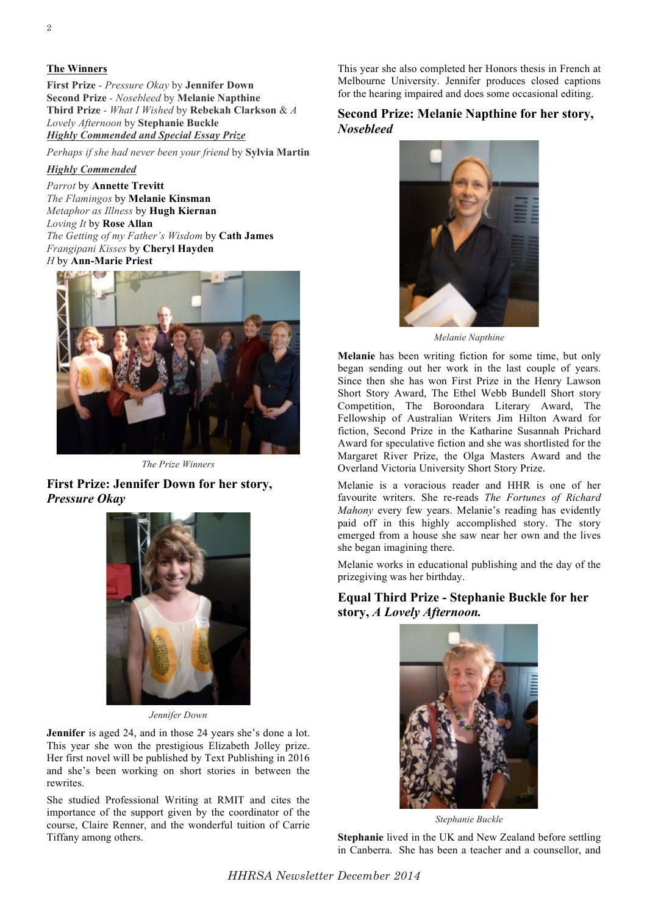#### **The Winners**

**First Prize** *- Pressure Okay* by **Jennifer Down Second Prize** *- Nosebleed* by **Melanie Napthine Third Prize** *- What I Wished* by **Rebekah Clarkson** & *A Lovely Afternoon* by **Stephanie Buckle** *Highly Commended and Special Essay Prize*

*Perhaps if she had never been your friend* by **Sylvia Martin**

*Highly Commended*

*Parrot* by **Annette Trevitt** *The Flamingos* by **Melanie Kinsman** *Metaphor as Illness* by **Hugh Kiernan** *Loving It* by **Rose Allan** *The Getting of my Father's Wisdom* by **Cath James** *Frangipani Kisses* by **Cheryl Hayden** *H* by **Ann-Marie Priest**



*The Prize Winners*

### **First Prize: Jennifer Down for her story,**  *Pressure Okay*



*Jennifer Down*

**Jennifer** is aged 24, and in those 24 years she's done a lot. This year she won the prestigious Elizabeth Jolley prize. Her first novel will be published by Text Publishing in 2016 and she's been working on short stories in between the rewrites.

She studied Professional Writing at RMIT and cites the importance of the support given by the coordinator of the course, Claire Renner, and the wonderful tuition of Carrie Tiffany among others.

This year she also completed her Honors thesis in French at Melbourne University. Jennifer produces closed captions for the hearing impaired and does some occasional editing.

#### **Second Prize: Melanie Napthine for her story,**  *Nosebleed*



*Melanie Napthine*

**Melanie** has been writing fiction for some time, but only began sending out her work in the last couple of years. Since then she has won First Prize in the Henry Lawson Short Story Award, The Ethel Webb Bundell Short story Competition, The Boroondara Literary Award, The Fellowship of Australian Writers Jim Hilton Award for fiction, Second Prize in the Katharine Susannah Prichard Award for speculative fiction and she was shortlisted for the Margaret River Prize, the Olga Masters Award and the Overland Victoria University Short Story Prize.

Melanie is a voracious reader and HHR is one of her favourite writers. She re-reads *The Fortunes of Richard Mahony* every few years. Melanie's reading has evidently paid off in this highly accomplished story. The story emerged from a house she saw near her own and the lives she began imagining there.

Melanie works in educational publishing and the day of the prizegiving was her birthday.

### **Equal Third Prize - Stephanie Buckle for her story,** *A Lovely Afternoon.*



*Stephanie Buckle*

**Stephanie** lived in the UK and New Zealand before settling in Canberra. She has been a teacher and a counsellor, and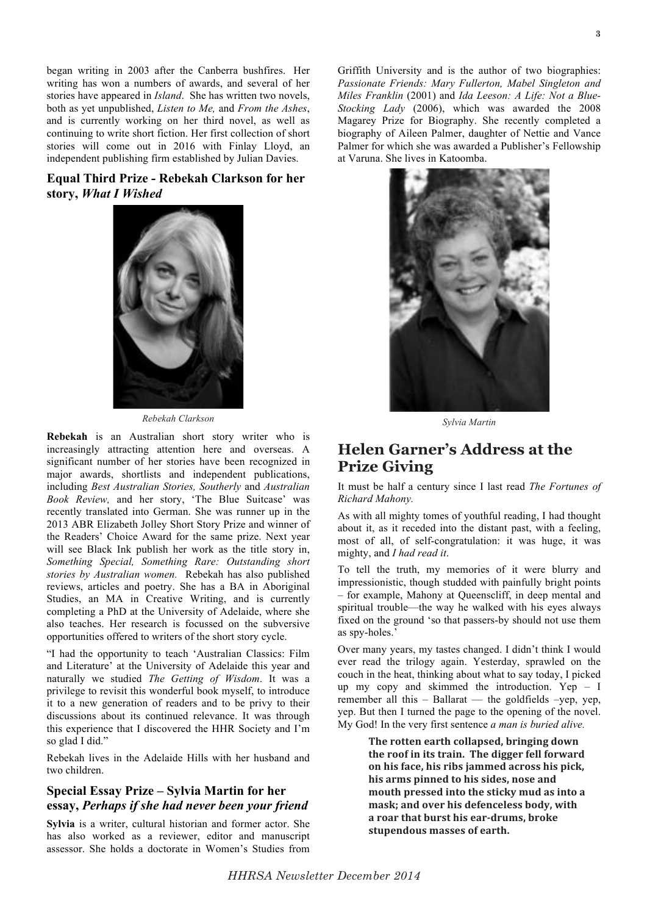began writing in 2003 after the Canberra bushfires. Her writing has won a numbers of awards, and several of her stories have appeared in *Island*. She has written two novels, both as yet unpublished, *Listen to Me,* and *From the Ashes*, and is currently working on her third novel, as well as continuing to write short fiction. Her first collection of short stories will come out in 2016 with Finlay Lloyd, an independent publishing firm established by Julian Davies.

### **Equal Third Prize - Rebekah Clarkson for her story,** *What I Wished*



*Rebekah Clarkson*

**Rebekah** is an Australian short story writer who is increasingly attracting attention here and overseas. A significant number of her stories have been recognized in major awards, shortlists and independent publications, including *Best Australian Stories, Southerly* and *Australian Book Review,* and her story, 'The Blue Suitcase' was recently translated into German. She was runner up in the 2013 ABR Elizabeth Jolley Short Story Prize and winner of the Readers' Choice Award for the same prize. Next year will see Black Ink publish her work as the title story in, *Something Special, Something Rare: Outstanding short stories by Australian women.* Rebekah has also published reviews, articles and poetry. She has a BA in Aboriginal Studies, an MA in Creative Writing, and is currently completing a PhD at the University of Adelaide, where she also teaches. Her research is focussed on the subversive opportunities offered to writers of the short story cycle.

"I had the opportunity to teach 'Australian Classics: Film and Literature' at the University of Adelaide this year and naturally we studied *The Getting of Wisdom*. It was a privilege to revisit this wonderful book myself, to introduce it to a new generation of readers and to be privy to their discussions about its continued relevance. It was through this experience that I discovered the HHR Society and I'm so glad I did."

Rebekah lives in the Adelaide Hills with her husband and two children.

### **Special Essay Prize – Sylvia Martin for her essay,** *Perhaps if she had never been your friend*

**Sylvia** is a writer, cultural historian and former actor. She has also worked as a reviewer, editor and manuscript assessor. She holds a doctorate in Women's Studies from

Griffith University and is the author of two biographies: *Passionate Friends: Mary Fullerton, Mabel Singleton and Miles Franklin* (2001) and *Ida Leeson: A Life: Not a Blue-Stocking Lady* (2006), which was awarded the 2008 Magarey Prize for Biography. She recently completed a biography of Aileen Palmer, daughter of Nettie and Vance Palmer for which she was awarded a Publisher's Fellowship at Varuna. She lives in Katoomba.



*Sylvia Martin*

## **Helen Garner's Address at the Prize Giving**

It must be half a century since I last read *The Fortunes of Richard Mahony.*

As with all mighty tomes of youthful reading, I had thought about it, as it receded into the distant past, with a feeling, most of all, of self-congratulation: it was huge, it was mighty, and *I had read it*.

To tell the truth, my memories of it were blurry and impressionistic, though studded with painfully bright points – for example, Mahony at Queenscliff, in deep mental and spiritual trouble—the way he walked with his eyes always fixed on the ground 'so that passers-by should not use them as spy-holes.'

Over many years, my tastes changed. I didn't think I would ever read the trilogy again. Yesterday, sprawled on the couch in the heat, thinking about what to say today, I picked up my copy and skimmed the introduction. Yep – I remember all this – Ballarat — the goldfields –yep, yep, yep. But then I turned the page to the opening of the novel. My God! In the very first sentence *a man is buried alive.*

> The rotten earth collapsed, bringing down the roof in its train. The digger fell forward on his face, his ribs jammed across his pick, his arms pinned to his sides, nose and mouth pressed into the sticky mud as into a mask; and over his defenceless body, with a roar that burst his ear-drums, broke stupendous masses of earth.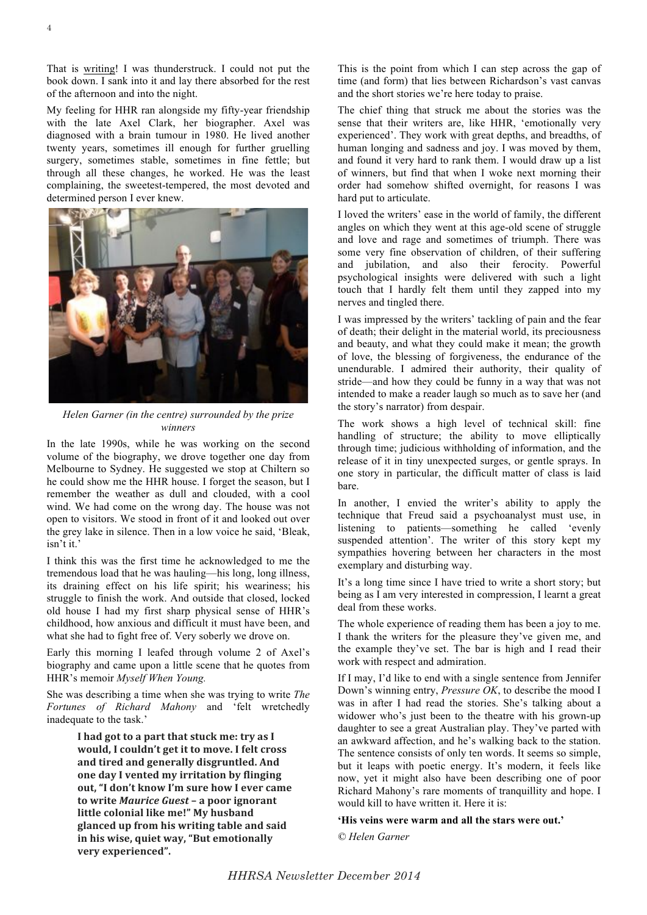That is writing! I was thunderstruck. I could not put the book down. I sank into it and lay there absorbed for the rest of the afternoon and into the night.

My feeling for HHR ran alongside my fifty-year friendship with the late Axel Clark, her biographer. Axel was diagnosed with a brain tumour in 1980. He lived another twenty years, sometimes ill enough for further gruelling surgery, sometimes stable, sometimes in fine fettle; but through all these changes, he worked. He was the least complaining, the sweetest-tempered, the most devoted and determined person I ever knew.



*Helen Garner (in the centre) surrounded by the prize winners*

In the late 1990s, while he was working on the second volume of the biography, we drove together one day from Melbourne to Sydney. He suggested we stop at Chiltern so he could show me the HHR house. I forget the season, but I remember the weather as dull and clouded, with a cool wind. We had come on the wrong day. The house was not open to visitors. We stood in front of it and looked out over the grey lake in silence. Then in a low voice he said, 'Bleak, isn't it.'

I think this was the first time he acknowledged to me the tremendous load that he was hauling—his long, long illness, its draining effect on his life spirit; his weariness; his struggle to finish the work. And outside that closed, locked old house I had my first sharp physical sense of HHR's childhood, how anxious and difficult it must have been, and what she had to fight free of. Very soberly we drove on.

Early this morning I leafed through volume 2 of Axel's biography and came upon a little scene that he quotes from HHR's memoir *Myself When Young.*

She was describing a time when she was trying to write *The Fortunes of Richard Mahony* and 'felt wretchedly inadequate to the task.'

> I had got to a part that stuck me: try as I **would, I couldn't get it to move. I felt cross** and tired and generally disgruntled. And **one day I vented my irritation by flinging** out, "I don't know I'm sure how I ever came **to write Maurice Guest - a poor ignorant** little colonial like me!" My husband glanced up from his writing table and said in his wise, quiet way, "But emotionally **very\$experienced".**

This is the point from which I can step across the gap of time (and form) that lies between Richardson's vast canvas and the short stories we're here today to praise.

The chief thing that struck me about the stories was the sense that their writers are, like HHR, 'emotionally very experienced'. They work with great depths, and breadths, of human longing and sadness and joy. I was moved by them, and found it very hard to rank them. I would draw up a list of winners, but find that when I woke next morning their order had somehow shifted overnight, for reasons I was hard put to articulate.

I loved the writers' ease in the world of family, the different angles on which they went at this age-old scene of struggle and love and rage and sometimes of triumph. There was some very fine observation of children, of their suffering and jubilation, and also their ferocity. Powerful psychological insights were delivered with such a light touch that I hardly felt them until they zapped into my nerves and tingled there.

I was impressed by the writers' tackling of pain and the fear of death; their delight in the material world, its preciousness and beauty, and what they could make it mean; the growth of love, the blessing of forgiveness, the endurance of the unendurable. I admired their authority, their quality of stride—and how they could be funny in a way that was not intended to make a reader laugh so much as to save her (and the story's narrator) from despair.

The work shows a high level of technical skill: fine handling of structure; the ability to move elliptically through time; judicious withholding of information, and the release of it in tiny unexpected surges, or gentle sprays. In one story in particular, the difficult matter of class is laid bare.

In another, I envied the writer's ability to apply the technique that Freud said a psychoanalyst must use, in listening to patients—something he called 'evenly suspended attention'. The writer of this story kept my sympathies hovering between her characters in the most exemplary and disturbing way.

It's a long time since I have tried to write a short story; but being as I am very interested in compression, I learnt a great deal from these works.

The whole experience of reading them has been a joy to me. I thank the writers for the pleasure they've given me, and the example they've set. The bar is high and I read their work with respect and admiration.

If I may, I'd like to end with a single sentence from Jennifer Down's winning entry, *Pressure OK*, to describe the mood I was in after I had read the stories. She's talking about a widower who's just been to the theatre with his grown-up daughter to see a great Australian play. They've parted with an awkward affection, and he's walking back to the station. The sentence consists of only ten words. It seems so simple, but it leaps with poetic energy. It's modern, it feels like now, yet it might also have been describing one of poor Richard Mahony's rare moments of tranquillity and hope. I would kill to have written it. Here it is:

#### **'His veins were warm and all the stars were out.'**

*© Helen Garner*